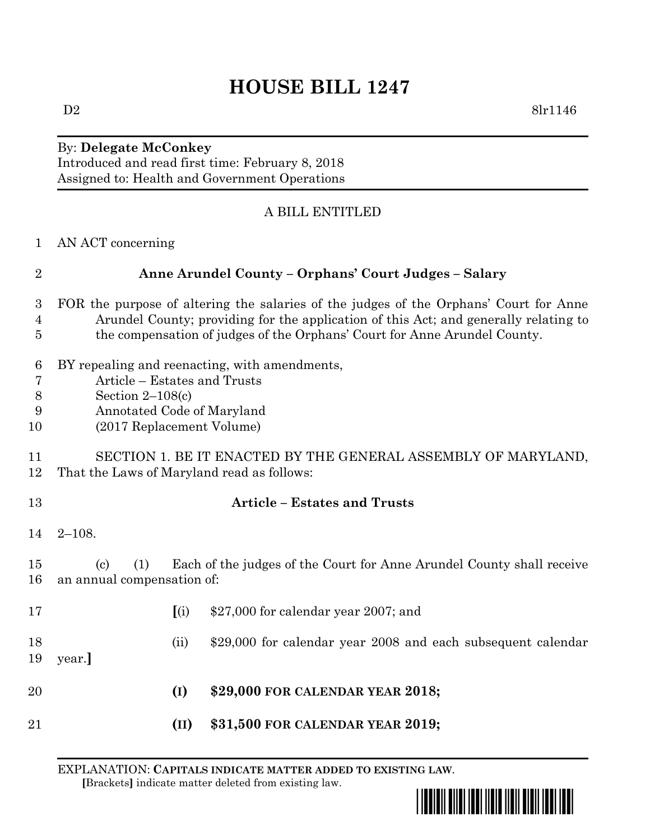# **HOUSE BILL 1247**

#### $D2 \qquad \qquad 8lr1146$

## By: **Delegate McConkey** Introduced and read first time: February 8, 2018 Assigned to: Health and Government Operations

### A BILL ENTITLED

|  | AN ACT concerning |  |
|--|-------------------|--|
|--|-------------------|--|

| $\overline{2}$                          | <b>Anne Arundel County - Orphans' Court Judges - Salary</b>                                                                                                                                                                                                |      |                                                              |  |  |
|-----------------------------------------|------------------------------------------------------------------------------------------------------------------------------------------------------------------------------------------------------------------------------------------------------------|------|--------------------------------------------------------------|--|--|
| 3<br>$\overline{4}$<br>5                | FOR the purpose of altering the salaries of the judges of the Orphans' Court for Anne<br>Arundel County; providing for the application of this Act; and generally relating to<br>the compensation of judges of the Orphans' Court for Anne Arundel County. |      |                                                              |  |  |
| 6<br>$\overline{7}$<br>$8\,$<br>9<br>10 | BY repealing and reenacting, with amendments,<br>Article – Estates and Trusts<br>Section $2-108(c)$<br>Annotated Code of Maryland<br>(2017 Replacement Volume)                                                                                             |      |                                                              |  |  |
| 11<br>12                                | SECTION 1. BE IT ENACTED BY THE GENERAL ASSEMBLY OF MARYLAND,<br>That the Laws of Maryland read as follows:                                                                                                                                                |      |                                                              |  |  |
| 13                                      |                                                                                                                                                                                                                                                            |      | <b>Article – Estates and Trusts</b>                          |  |  |
| 14                                      | $2 - 108.$                                                                                                                                                                                                                                                 |      |                                                              |  |  |
| 15<br>16                                | Each of the judges of the Court for Anne Arundel County shall receive<br>$\left( \mathrm{c}\right)$<br>(1)<br>an annual compensation of:                                                                                                                   |      |                                                              |  |  |
| 17                                      |                                                                                                                                                                                                                                                            | (i)  | \$27,000 for calendar year 2007; and                         |  |  |
| 18<br>19                                | year.                                                                                                                                                                                                                                                      | (ii) | \$29,000 for calendar year 2008 and each subsequent calendar |  |  |
| 20                                      |                                                                                                                                                                                                                                                            | (I)  | \$29,000 FOR CALENDAR YEAR 2018;                             |  |  |
| 21                                      |                                                                                                                                                                                                                                                            | (II) | \$31,500 FOR CALENDAR YEAR 2019;                             |  |  |

EXPLANATION: **CAPITALS INDICATE MATTER ADDED TO EXISTING LAW**.  **[**Brackets**]** indicate matter deleted from existing law.